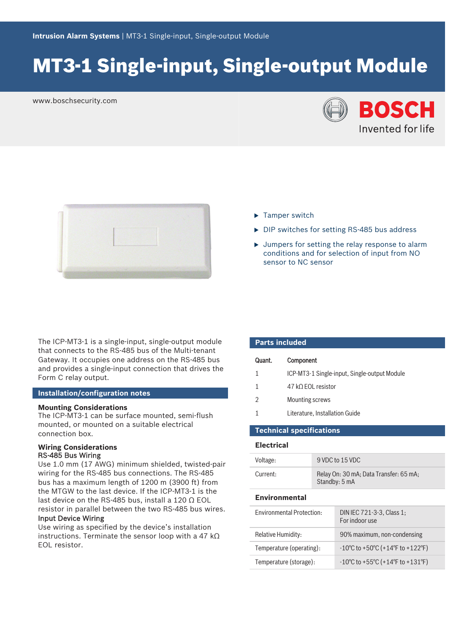# MT3‑1 Single‑input, Single‑output Module

www.boschsecurity.com





- $\blacktriangleright$  Tamper switch
- $\triangleright$  DIP switches for setting RS-485 bus address
- $\blacktriangleright$  Jumpers for setting the relay response to alarm conditions and for selection of input from NO sensor to NC sensor

The ICP-MT3-1 is a single-input, single-output module that connects to the RS‑485 bus of the Multi-tenant Gateway. It occupies one address on the RS‑485 bus and provides a single‑input connection that drives the Form C relay output.

#### **Installation/configuration notes**

#### **Mounting Considerations**

The ICP‑MT3‑1 can be surface mounted, semi-flush mounted, or mounted on a suitable electrical connection box.

### **Wiring Considerations** RS‑485 Bus Wiring

Use 1.0 mm (17 AWG) minimum shielded, twisted-pair wiring for the RS‑485 bus connections. The RS-485 bus has a maximum length of 1200 m (3900 ft) from the MTGW to the last device. If the ICP‑MT3‑1 is the last device on the RS-485 bus, install a 120  $\Omega$  EOL resistor in parallel between the two RS‑485 bus wires.

# Input Device Wiring

Use wiring as specified by the device's installation instructions. Terminate the sensor loop with a 47 kΩ EOL resistor.

| <b>Parts included</b> |                                              |  |  |
|-----------------------|----------------------------------------------|--|--|
| Quant.                | Component                                    |  |  |
|                       | ICP-MT3-1 Single-input, Single-output Module |  |  |
|                       | 47 kΩ EOL resistor                           |  |  |
| $\mathfrak{D}$        | Mounting screws                              |  |  |
|                       | Literature, Installation Guide               |  |  |
| was a book a ch       | .                                            |  |  |

# **Technical specifications**

### **Electrical**

| Voltage:                         |  | 9 VDC to 15 VDC                                                             |  |
|----------------------------------|--|-----------------------------------------------------------------------------|--|
| Current:                         |  | Relay On: 30 mA; Data Transfer: 65 mA;<br>Standby: 5 mA                     |  |
| <b>Environmental</b>             |  |                                                                             |  |
| <b>Fnvironmental Protection:</b> |  | DIN IEC 721-3-3, Class 1;<br>For indoor use                                 |  |
| Relative Humidity:               |  | 90% maximum, non-condensing                                                 |  |
| Temperature (operating):         |  | $-10^{\circ}$ C to +50 $^{\circ}$ C (+14 $^{\circ}$ F to +122 $^{\circ}$ F) |  |
| Temperature (storage):           |  | $-10^{\circ}$ C to +55 $^{\circ}$ C (+14 $^{\circ}$ F to +131 $^{\circ}$ F) |  |